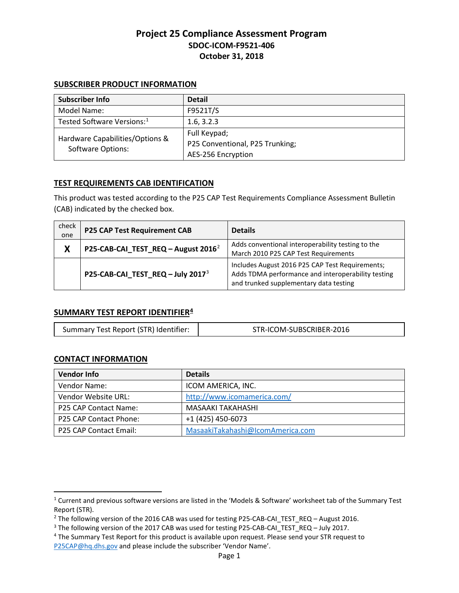### **SUBSCRIBER PRODUCT INFORMATION**

| Subscriber Info                                             | <b>Detail</b>                   |
|-------------------------------------------------------------|---------------------------------|
| Model Name:                                                 | F9521T/S                        |
| Tested Software Versions: <sup>1</sup>                      | 1.6, 3.2.3                      |
| Hardware Capabilities/Options &<br><b>Software Options:</b> | Full Keypad;                    |
|                                                             | P25 Conventional, P25 Trunking; |
|                                                             | AES-256 Encryption              |

## **TEST REQUIREMENTS CAB IDENTIFICATION**

This product was tested according to the P25 CAP Test Requirements Compliance Assessment Bulletin (CAB) indicated by the checked box.

| check<br>one | <b>P25 CAP Test Requirement CAB</b>             | <b>Details</b>                                                                                                                                  |
|--------------|-------------------------------------------------|-------------------------------------------------------------------------------------------------------------------------------------------------|
| X            | P25-CAB-CAI_TEST_REQ - August 2016 <sup>2</sup> | Adds conventional interoperability testing to the<br>March 2010 P25 CAP Test Requirements                                                       |
|              | P25-CAB-CAI_TEST_REQ - July 2017 <sup>3</sup>   | Includes August 2016 P25 CAP Test Requirements;<br>Adds TDMA performance and interoperability testing<br>and trunked supplementary data testing |

### **SUMMARY TEST REPORT IDENTIFIER[4](#page-0-3)**

| Summary Test Report (STR) Identifier: | STR-ICOM-SUBSCRIBER-2016 |
|---------------------------------------|--------------------------|
|---------------------------------------|--------------------------|

### **CONTACT INFORMATION**

 $\overline{\phantom{a}}$ 

| <b>Vendor Info</b>     | <b>Details</b>                   |
|------------------------|----------------------------------|
| Vendor Name:           | ICOM AMERICA, INC.               |
| Vendor Website URL:    | http://www.icomamerica.com/      |
| P25 CAP Contact Name:  | MASAAKI TAKAHASHI                |
| P25 CAP Contact Phone: | +1 (425) 450-6073                |
| P25 CAP Contact Email: | MasaakiTakahashi@IcomAmerica.com |

<span id="page-0-0"></span><sup>1</sup> Current and previous software versions are listed in the 'Models & Software' worksheet tab of the Summary Test Report (STR).

<span id="page-0-1"></span><sup>&</sup>lt;sup>2</sup> The following version of the 2016 CAB was used for testing P25-CAB-CAI\_TEST\_REQ – August 2016.<br><sup>3</sup> The following version of the 2017 CAB was used for testing P25-CAB-CAI\_TEST\_REQ – July 2017.<br><sup>4</sup> The Summary Test Repo

<span id="page-0-2"></span>

<span id="page-0-3"></span>[P25CAP@hq.dhs.gov](mailto:P25CAP@hq.dhs.gov?subject=Request%20%3e%20ICOM%20F9521T/S%20STR) and please include the subscriber 'Vendor Name'.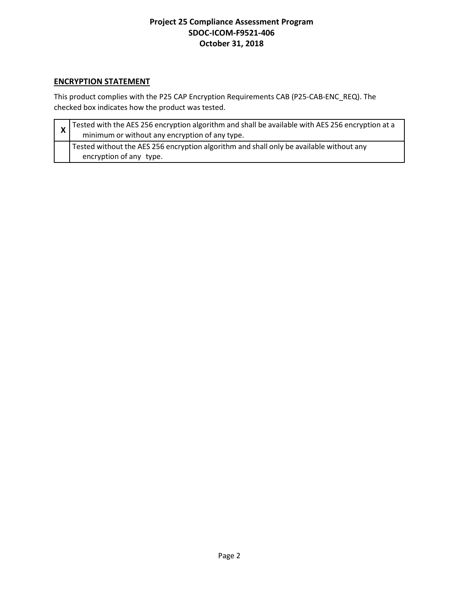## **ENCRYPTION STATEMENT**

This product complies with the P25 CAP Encryption Requirements CAB (P25-CAB-ENC\_REQ). The checked box indicates how the product was tested.

| $\vert x \vert$ Tested with the AES 256 encryption algorithm and shall be available with AES 256 encryption at a<br>minimum or without any encryption of any type. |
|--------------------------------------------------------------------------------------------------------------------------------------------------------------------|
| Tested without the AES 256 encryption algorithm and shall only be available without any<br>encryption of any type.                                                 |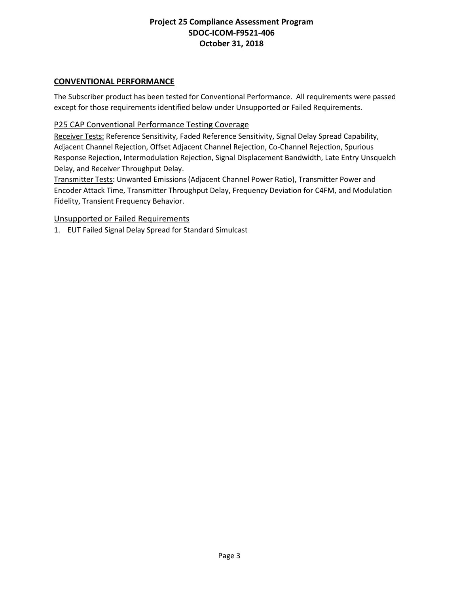## **CONVENTIONAL PERFORMANCE**

The Subscriber product has been tested for Conventional Performance. All requirements were passed except for those requirements identified below under Unsupported or Failed Requirements.

### P25 CAP Conventional Performance Testing Coverage

Receiver Tests: Reference Sensitivity, Faded Reference Sensitivity, Signal Delay Spread Capability, Adjacent Channel Rejection, Offset Adjacent Channel Rejection, Co-Channel Rejection, Spurious Response Rejection, Intermodulation Rejection, Signal Displacement Bandwidth, Late Entry Unsquelch Delay, and Receiver Throughput Delay.

Transmitter Tests: Unwanted Emissions (Adjacent Channel Power Ratio), Transmitter Power and Encoder Attack Time, Transmitter Throughput Delay, Frequency Deviation for C4FM, and Modulation Fidelity, Transient Frequency Behavior.

### Unsupported or Failed Requirements

1. EUT Failed Signal Delay Spread for Standard Simulcast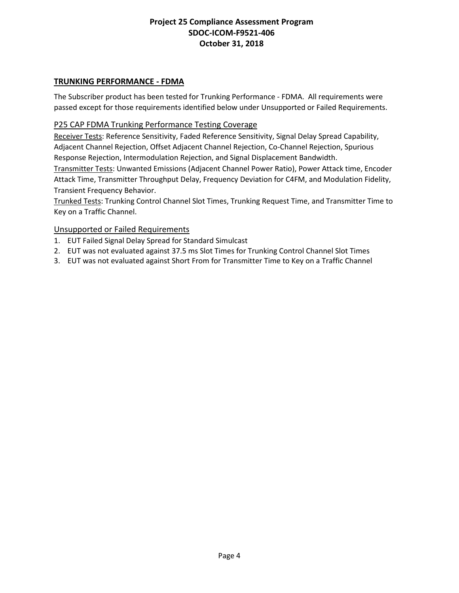## **TRUNKING PERFORMANCE - FDMA**

The Subscriber product has been tested for Trunking Performance - FDMA. All requirements were passed except for those requirements identified below under Unsupported or Failed Requirements.

### P25 CAP FDMA Trunking Performance Testing Coverage

Receiver Tests: Reference Sensitivity, Faded Reference Sensitivity, Signal Delay Spread Capability, Adjacent Channel Rejection, Offset Adjacent Channel Rejection, Co-Channel Rejection, Spurious Response Rejection, Intermodulation Rejection, and Signal Displacement Bandwidth.

Transmitter Tests: Unwanted Emissions (Adjacent Channel Power Ratio), Power Attack time, Encoder Attack Time, Transmitter Throughput Delay, Frequency Deviation for C4FM, and Modulation Fidelity, Transient Frequency Behavior.

Trunked Tests: Trunking Control Channel Slot Times, Trunking Request Time, and Transmitter Time to Key on a Traffic Channel.

### Unsupported or Failed Requirements

- 1. EUT Failed Signal Delay Spread for Standard Simulcast
- 2. EUT was not evaluated against 37.5 ms Slot Times for Trunking Control Channel Slot Times
- 3. EUT was not evaluated against Short From for Transmitter Time to Key on a Traffic Channel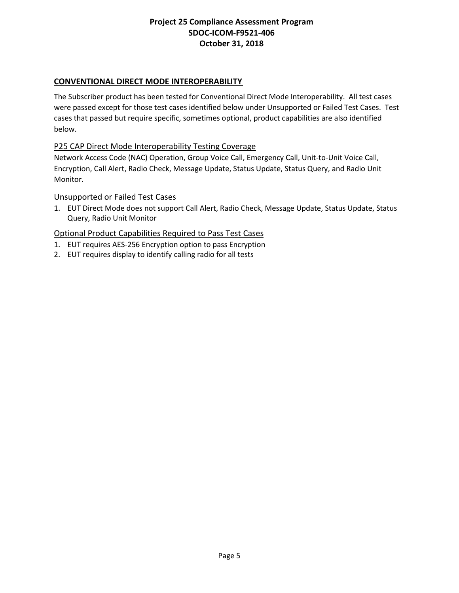## **CONVENTIONAL DIRECT MODE INTEROPERABILITY**

The Subscriber product has been tested for Conventional Direct Mode Interoperability. All test cases were passed except for those test cases identified below under Unsupported or Failed Test Cases. Test cases that passed but require specific, sometimes optional, product capabilities are also identified below.

### P25 CAP Direct Mode Interoperability Testing Coverage

Network Access Code (NAC) Operation, Group Voice Call, Emergency Call, Unit-to-Unit Voice Call, Encryption, Call Alert, Radio Check, Message Update, Status Update, Status Query, and Radio Unit Monitor.

### Unsupported or Failed Test Cases

1. EUT Direct Mode does not support Call Alert, Radio Check, Message Update, Status Update, Status Query, Radio Unit Monitor

- 1. EUT requires AES-256 Encryption option to pass Encryption
- 2. EUT requires display to identify calling radio for all tests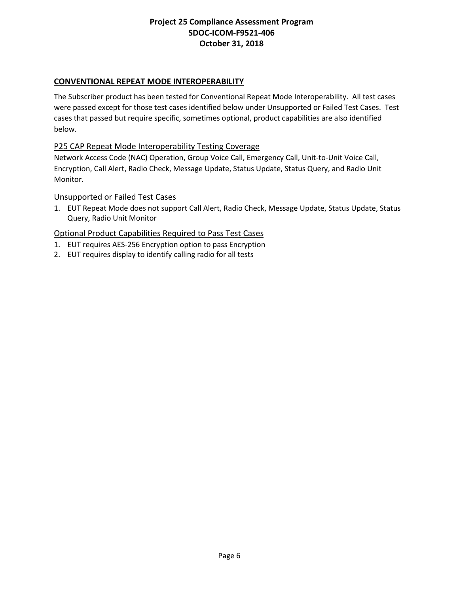## **CONVENTIONAL REPEAT MODE INTEROPERABILITY**

The Subscriber product has been tested for Conventional Repeat Mode Interoperability. All test cases were passed except for those test cases identified below under Unsupported or Failed Test Cases. Test cases that passed but require specific, sometimes optional, product capabilities are also identified below.

### P25 CAP Repeat Mode Interoperability Testing Coverage

Network Access Code (NAC) Operation, Group Voice Call, Emergency Call, Unit-to-Unit Voice Call, Encryption, Call Alert, Radio Check, Message Update, Status Update, Status Query, and Radio Unit Monitor.

#### Unsupported or Failed Test Cases

1. EUT Repeat Mode does not support Call Alert, Radio Check, Message Update, Status Update, Status Query, Radio Unit Monitor

- 1. EUT requires AES-256 Encryption option to pass Encryption
- 2. EUT requires display to identify calling radio for all tests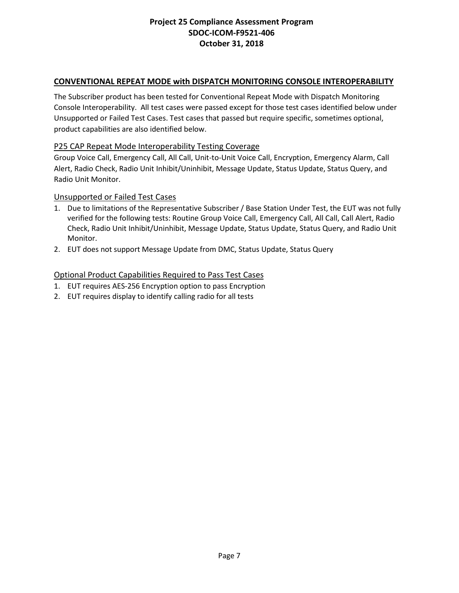## **CONVENTIONAL REPEAT MODE with DISPATCH MONITORING CONSOLE INTEROPERABILITY**

The Subscriber product has been tested for Conventional Repeat Mode with Dispatch Monitoring Console Interoperability. All test cases were passed except for those test cases identified below under Unsupported or Failed Test Cases. Test cases that passed but require specific, sometimes optional, product capabilities are also identified below.

### P25 CAP Repeat Mode Interoperability Testing Coverage

Group Voice Call, Emergency Call, All Call, Unit-to-Unit Voice Call, Encryption, Emergency Alarm, Call Alert, Radio Check, Radio Unit Inhibit/Uninhibit, Message Update, Status Update, Status Query, and Radio Unit Monitor.

#### Unsupported or Failed Test Cases

- 1. Due to limitations of the Representative Subscriber / Base Station Under Test, the EUT was not fully verified for the following tests: Routine Group Voice Call, Emergency Call, All Call, Call Alert, Radio Check, Radio Unit Inhibit/Uninhibit, Message Update, Status Update, Status Query, and Radio Unit Monitor.
- 2. EUT does not support Message Update from DMC, Status Update, Status Query

- 1. EUT requires AES-256 Encryption option to pass Encryption
- 2. EUT requires display to identify calling radio for all tests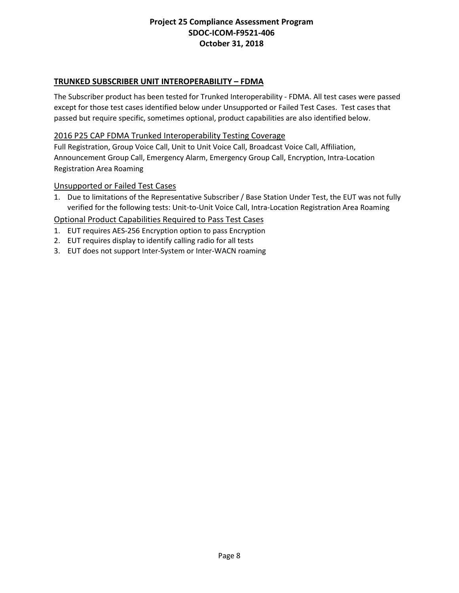## **TRUNKED SUBSCRIBER UNIT INTEROPERABILITY – FDMA**

The Subscriber product has been tested for Trunked Interoperability - FDMA. All test cases were passed except for those test cases identified below under Unsupported or Failed Test Cases. Test cases that passed but require specific, sometimes optional, product capabilities are also identified below.

### 2016 P25 CAP FDMA Trunked Interoperability Testing Coverage

Full Registration, Group Voice Call, Unit to Unit Voice Call, Broadcast Voice Call, Affiliation, Announcement Group Call, Emergency Alarm, Emergency Group Call, Encryption, Intra-Location Registration Area Roaming

#### Unsupported or Failed Test Cases

1. Due to limitations of the Representative Subscriber / Base Station Under Test, the EUT was not fully verified for the following tests: Unit-to-Unit Voice Call, Intra-Location Registration Area Roaming

- 1. EUT requires AES-256 Encryption option to pass Encryption
- 2. EUT requires display to identify calling radio for all tests
- 3. EUT does not support Inter-System or Inter-WACN roaming